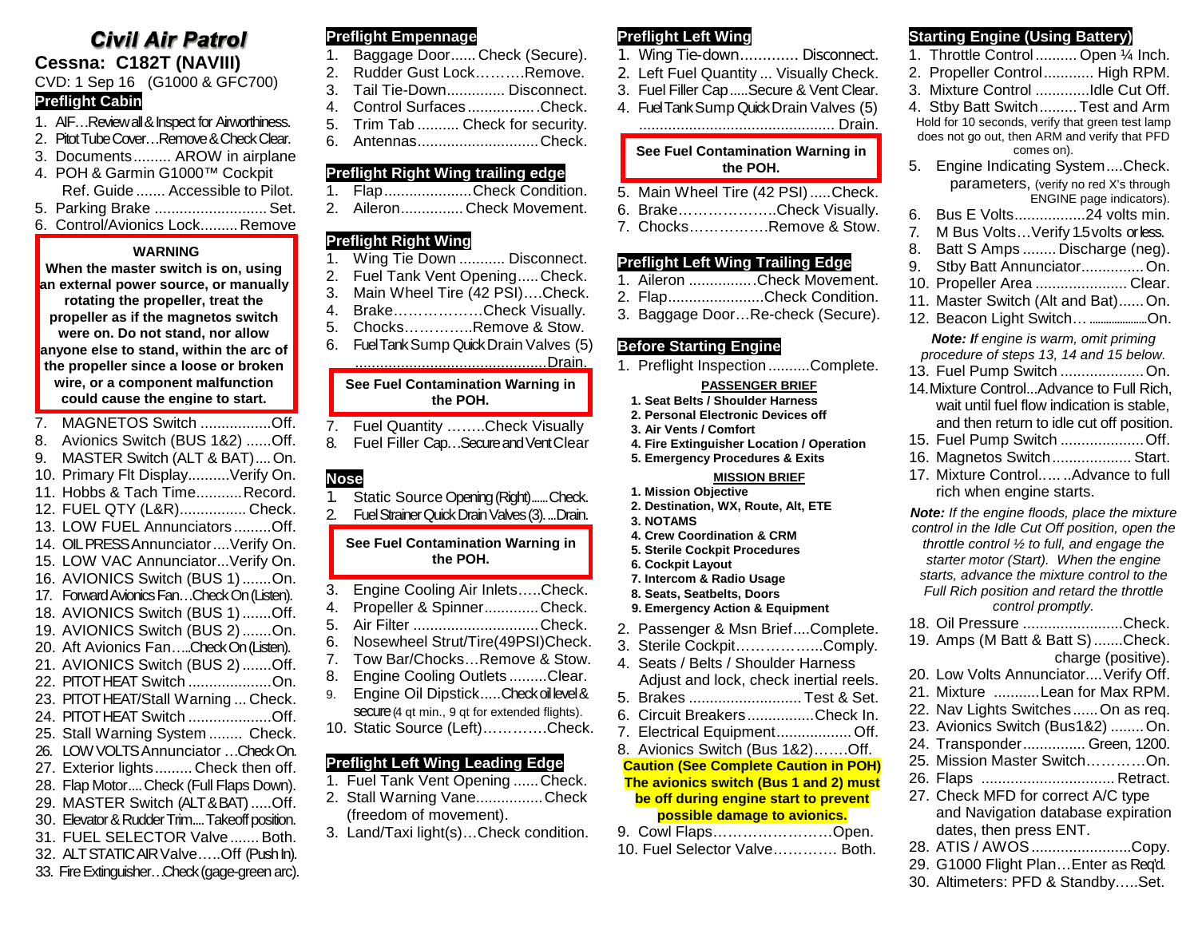# **Civil Air Patrol Cessna: C182T (NAVIII)**

# CVD: 1 Sep 16 (G1000 & GFC700)

# **Preflight Cabin**

- 1. AIF…Review all & Inspect for Airworthiness.
- 2. Pitot Tube Cover…Remove & Check Clear.
- 3. Documents......... AROW in airplane
- 4. POH & Garmin G1000™ Cockpit Ref. Guide ....... Accessible to Pilot.
- 5. Parking Brake ...........................Set.
- 6. Control/Avionics Lock.........Remove

## **WARNING**

**When the master switch is on, using an external power source, or manually rotating the propeller, treat the propeller as if the magnetos switch were on. Do not stand, nor allow anyone else to stand, within the arc of the propeller since a loose or broken wire, or a component malfunction could cause the engine to start.**

- 7. MAGNETOS Switch .................Off.
- 8. Avionics Switch (BUS 1&2) ......Off.
- 9. MASTER Switch (ALT & BAT)....On. 10. Primary Flt Display..........Verify On.
- 11. Hobbs & Tach Time...........Record. 12. FUEL QTY (L&R)................ Check.
- 13. LOW FUEL Annunciators .........Off.
- 14. OIL PRESS Annunciator.... Verify On.
- 15. LOW VAC Annunciator...Verify On.
- 16. AVIONICS Switch (BUS 1).......On.
- 17. Forward Avionics Fan…CheckOn(Listen).
- 18. AVIONICS Switch (BUS 1).......Off. 19. AVIONICS Switch (BUS 2).......On.
- 20. Aft Avionics Fan…..Check On(Listen).
- 21. AVIONICS Switch (BUS 2).......Off.
- 22. PITOT HEAT Switch ....................On.
- 23. PITOT HEAT/Stall Warning ... Check.
- 24. PITOT HEAT Switch ....................Off.
- 25. Stall Warning System ........ Check. 26. LOW VOLTS Annunciator …Check On.
- 27. Exterior lights......... Check then off.
- 28. Flap Motor.... Check (Full Flaps Down).
- 29. MASTER Switch (ALT & BAT).....Off.
- 30. Elevator & Rudder Trim....Takeoff position.
- 31. FUEL SELECTOR Valve.......Both.
- 32. ALT STATIC AIR Valve…..Off (Push In).
- 33. Fire Extinguisher…Check (gage-green arc).

# **Preflight Empennage**

- 1. Baggage Door...... Check (Secure).
- 2. Rudder Gust Lock……….Remove.
- 3. Tail Tie-Down.............. Disconnect.
- 4. Control Surfaces .................Check. 5. Trim Tab .......... Check for security.
- 6. Antennas.............................Check.

# **Preflight Right Wing trailing edge**

- 1. Flap...................Check Condition.
- 2. Aileron............... Check Movement.

# **Preflight Right Wing**

- 1. Wing Tie Down ........... Disconnect.
- 2. Fuel Tank Vent Opening.....Check.
- 3. Main Wheel Tire (42 PSI)….Check.
- 4. Brake………………Check Visually.
- 5. Chocks…………..Remove & Stow.
- 6. Fuel Tank Sump Quick Drain Valves (5)

# ..............................................Drain.

#### **See Fuel Contamination Warning in the POH.**

- 7. Fuel Quantity ……..Check Visually
- 8. Fuel Filler Cap…Secure and VentClear

# **Nose**

- 1. Static Source Opening (Right)......Check.
- 2. Fuel Strainer Quick Drain Valves(3)....Drain.

## **See Fuel Contamination Warning in the POH.**

- 3. Engine Cooling Air Inlets…..Check.
- 4. Propeller & Spinner.............Check.
- 5. Air Filter ..............................Check.
- 6. Nosewheel Strut/Tire(49PSI)Check.
- 7. Tow Bar/Chocks…Remove & Stow.
- 8. Engine Cooling Outlets .........Clear.
- 9. Engine Oil Dipstick.....Check oil level & secure (4 qt min., 9 qt for extended flights).
- 10. Static Source (Left)………….Check.

# **Preflight Left Wing Leading Edge**

- 1. Fuel Tank Vent Opening ......Check.
- 2. Stall Warning Vane................Check (freedom of movement).
- 3. Land/Taxi light(s)…Check condition.

# **Preflight Left Wing**

1. Wing Tie-down............. Disconnect.

**Starting Engine (Using Battery)** 1. Throttle Control.......... Open ¼ Inch. 2. Propeller Control............ High RPM. 3. Mixture Control .............Idle Cut Off. 4. Stby Batt Switch.........Test and Arm Hold for 10 seconds, verify that green test lamp does not go out, then ARM and verify that PFD comes on). 5. Engine Indicating System....Check. parameters, (verify no red X's through

6. Bus E Volts.................24 volts min. 7. M Bus Volts…Verify 1.5 volts or less. 8. Batt S Amps ........ Discharge (neg). 9. Stby Batt Annunciator...............On. 10. Propeller Area ...................... Clear. 11. Master Switch (Alt and Bat)......On. 12. Beacon Light Switch... .........................On. *Note: If engine is warm, omit priming procedure of steps 13, 14 and 15 below.* 13. Fuel Pump Switch ....................On. 14.Mixture Control...Advance to Full Rich, wait until fuel flow indication is stable, and then return to idle cut off position. 15. Fuel Pump Switch ....................Off. 16. Magnetos Switch................... Start. 17. Mixture Control..... ..Advance to full

rich when engine starts.

*Note: If the engine floods, place the mixture control in the Idle Cut Off position, open the throttle control ½ to full, and engage the starter motor (Start). When the engine starts, advance the mixture control to the Full Rich position and retard the throttle control promptly.* 18. Oil Pressure ........................Check. 19. Amps (M Batt & Batt S).......Check.

20. Low Volts Annunciator....Verify Off. 21. Mixture ...........Lean for Max RPM. 22. Nav Lights Switches......On as req. 23. Avionics Switch (Bus1&2) ........On. 24. Transponder............... Green, 1200. 25. Mission Master Switch…………On. 26. Flaps ................................ Retract. 27. Check MFD for correct A/C type and Navigation database expiration

dates, then press ENT. 28. ATIS / AWOS........................Copy. 29. G1000 Flight Plan…Enter as Req'd. 30. Altimeters: PFD & Standby…..Set.

charge (positive).

ENGINE page indicators).

- 2. Left Fuel Quantity ... Visually Check.
- 3. Fuel Filler Cap.....Secure & Vent Clear.
- 4. Fuel Tank Sump Quick Drain Valves (5) ............................................... Drain.

#### **See Fuel Contamination Warning in the POH.**

- 5. Main Wheel Tire (42 PSI).....Check.
- 6. Brake………………..Check Visually.
- 7. Chocks…………….Remove & Stow.

# **Preflight Left Wing Trailing Edge**

- 1. Aileron ................Check Movement.
- 2. Flap.......................Check Condition.
- 3. Baggage Door…Re-check (Secure).

## **Before Starting Engine**

1. Preflight Inspection..........Complete.

#### **PASSENGER BRIEF**

- **1. Seat Belts / Shoulder Harness**
- **2. Personal Electronic Devices off**
- **3. Air Vents / Comfort**
- **4. Fire Extinguisher Location / Operation**
- **5. Emergency Procedures & Exits**

## **MISSION BRIEF**

- **1. Mission Objective**
- **2. Destination, WX, Route, Alt, ETE**
- **3. NOTAMS**
- **4. Crew Coordination & CRM**
- **5. Sterile Cockpit Procedures**
- **6. Cockpit Layout**
- **7. Intercom & Radio Usage 8. Seats, Seatbelts, Doors**
- **9. Emergency Action & Equipment**

2. Passenger & Msn Brief....Complete. 3. Sterile Cockpit……………...Comply. 4. Seats / Belts / Shoulder Harness Adjust and lock, check inertial reels. 5. Brakes ........................... Test & Set. 6. Circuit Breakers................Check In. 7. Electrical Equipment.................. Off. 8. Avionics Switch (Bus 1&2)…….Off. **Caution (See Complete Caution in POH) The avionics switch (Bus 1 and 2) must be off during engine start to prevent possible damage to avionics.** 9. Cowl Flaps……………………Open. 10. Fuel Selector Valve…………. Both.